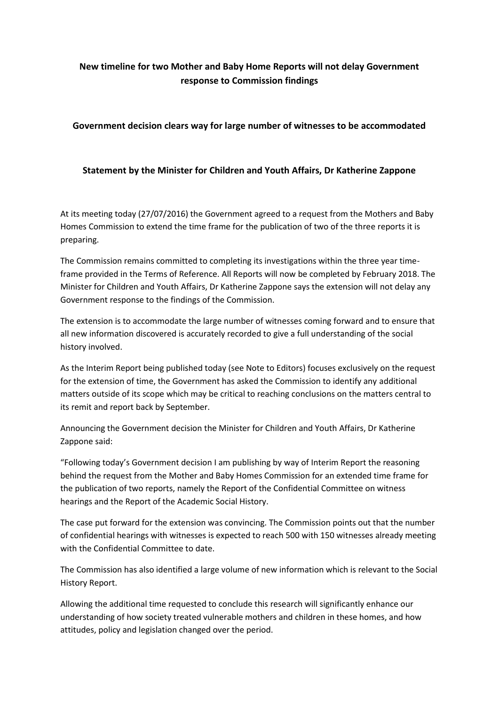# **New timeline for two Mother and Baby Home Reports will not delay Government response to Commission findings**

## **Government decision clears way for large number of witnesses to be accommodated**

# **Statement by the Minister for Children and Youth Affairs, Dr Katherine Zappone**

At its meeting today (27/07/2016) the Government agreed to a request from the Mothers and Baby Homes Commission to extend the time frame for the publication of two of the three reports it is preparing.

The Commission remains committed to completing its investigations within the three year timeframe provided in the Terms of Reference. All Reports will now be completed by February 2018. The Minister for Children and Youth Affairs, Dr Katherine Zappone says the extension will not delay any Government response to the findings of the Commission.

The extension is to accommodate the large number of witnesses coming forward and to ensure that all new information discovered is accurately recorded to give a full understanding of the social history involved.

As the Interim Report being published today (see Note to Editors) focuses exclusively on the request for the extension of time, the Government has asked the Commission to identify any additional matters outside of its scope which may be critical to reaching conclusions on the matters central to its remit and report back by September.

Announcing the Government decision the Minister for Children and Youth Affairs, Dr Katherine Zappone said:

"Following today's Government decision I am publishing by way of Interim Report the reasoning behind the request from the Mother and Baby Homes Commission for an extended time frame for the publication of two reports, namely the Report of the Confidential Committee on witness hearings and the Report of the Academic Social History.

The case put forward for the extension was convincing. The Commission points out that the number of confidential hearings with witnesses is expected to reach 500 with 150 witnesses already meeting with the Confidential Committee to date.

The Commission has also identified a large volume of new information which is relevant to the Social History Report.

Allowing the additional time requested to conclude this research will significantly enhance our understanding of how society treated vulnerable mothers and children in these homes, and how attitudes, policy and legislation changed over the period.